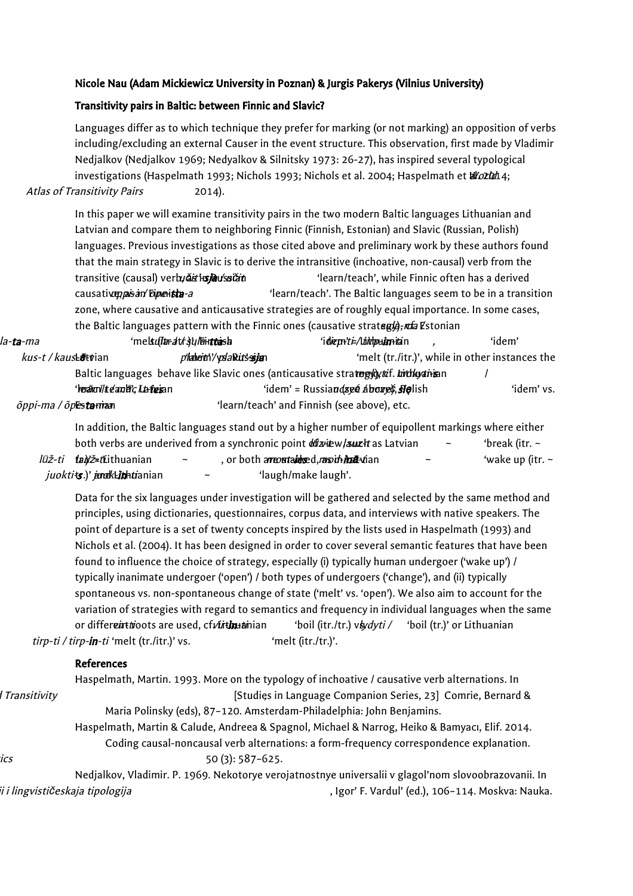## Nicole Nau (Adam Mickiewicz University in Poznan) & Jurgis Pakerys (Vilnius University)

## Transitivity pairs in Baltic: between Finnic and Slavic?

Languages differ as to which technique they prefer for marking (or not marking) an opposition of verbs including/excluding an external Causer in the event structure. This observation, first made by Vladimir Nedjalkov (Nedjalkov 1969; Nedyalkov & Silnitsky 1973: 26-27), has inspired several typological investigations (Haspelmath 1993; Nichols 1993; Nichols et al. 2004; Haspelmath et allozion 4; Atlas of Transitivity Pairs 2014).

In this paper we will examine transitivity pairs in the two modern Baltic languages Lithuanian and Latvian and compare them to neighboring Finnic (Finnish, Estonian) and Slavic (Russian, Polish) languages. Previous investigations as those cited above and preliminary work by these authors found that the main strategy in Slavic is to derive the intransitive (inchoative, non-causal) verb from the transitive (causal) verbu**čit in in u**ćitism in učitoria 'learn/teach', while Finnic often has a derived causative pas in Finnish operation of the saltic languages seem to be in a transition zone, where causative and anticausative strategies are of roughly equal importance. In some cases, the Baltic languages pattern with the Finnic ones (causative strategle), refa Estonian

| la- <b>ta</b> -ma            | 'mels <i>ultar at kajul</i> Tair <b>tta</b> is h | ʻi <i>die priti-/Liititpu<b>im</b>ita</i> in                                         | 'idem'                                          |
|------------------------------|--------------------------------------------------|--------------------------------------------------------------------------------------|-------------------------------------------------|
| kus-t / kaus <b>Lētv</b> ian | <i>phalleitii / ysla Ritssija</i> n              |                                                                                      | 'melt (tr./itr.)', while in other instances the |
|                              |                                                  | Baltic languages behave like Slavic ones (anticausative stratupy) tuf. bithay this n |                                                 |
|                              | ' <i>reā</i> rov/te⁄anbic Lateian                | 'idem' = Russiandseé ábozeč, sięlish                                                 | 'idem' vs.                                      |
| õppi-ma / õpestarrian        |                                                  | 'learn/teach' and Finnish (see above), etc.                                          |                                                 |

In addition, the Baltic languages stand out by a higher number of equipollent markings where either both verbs are underived from a synchronic point  $\frac{d\hat{u}}{dx}$  viet w, l and as Latvian  $\sim$  'break (itr. ~ lūž-ti **tali**ž=tiithuanian ~ , or both amore mataidesed,man ~ 'wake up (itr. ~  $juokt$ is.)' and keithetianian s s s s s 'laugh/make laugh'.

Data for the six languages under investigation will be gathered and selected by the same method and principles, using dictionaries, questionnaires, corpus data, and interviews with native speakers. The point of departure is a set of twenty concepts inspired by the lists used in Haspelmath (1993) and Nichols et al. (2004). It has been designed in order to cover several semantic features that have been found to influence the choice of strategy, especially (i) typically human undergoer ('wake up') / typically inanimate undergoer ('open') / both types of undergoers ('change'), and (ii) typically spontaneous vs. non-spontaneous change of state ('melt' vs. 'open'). We also aim to account for the variation of strategies with regard to semantics and frequency in individual languages when the same or different troots are used, cf virtinua inian thoil (itr./tr.) vls. dyti / 'boil (tr.)' or Lithuanian tirp-ti / tirp-in-ti 'melt (tr./itr.)' vs. 'melt (itr./tr.)'.

## References

|              |                                                                                                | Haspelmath, Martin. 1993. More on the typology of inchoative / causative verb alternations. In       |  |
|--------------|------------------------------------------------------------------------------------------------|------------------------------------------------------------------------------------------------------|--|
| Transitivity |                                                                                                | [Studies in Language Companion Series, 23] Comrie, Bernard &                                         |  |
|              | Maria Polinsky (eds), 87-120. Amsterdam-Philadelphia: John Benjamins.                          |                                                                                                      |  |
|              | Haspelmath, Martin & Calude, Andreea & Spagnol, Michael & Narrog, Heiko & Bamyacı, Elif. 2014. |                                                                                                      |  |
|              |                                                                                                | Coding causal-noncausal verb alternations: a form-frequency correspondence explanation.              |  |
| ICS          |                                                                                                | $50(3): 587-625.$                                                                                    |  |
|              |                                                                                                | Nedjalkov, Vladimir. P. 1969. Nekotorye verojatnostnye universalii v glagol'nom slovoobrazovanii. In |  |
|              | ii i lingvističeskaja tipologija                                                               | , Igor' F. Vardul' (ed.), 106-114. Moskva: Nauka.                                                    |  |